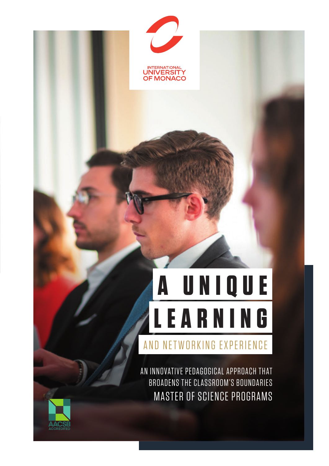

# **LEARNING A UNIQUE**

AND NETWORKING EXPERIENCE

AN INNOVATIVE PEDAGOGICAL APPROACH THAT BROADENS THE CLASSROOM'S BOUNDARIES MASTER OF SCIENCE PROGRAMS

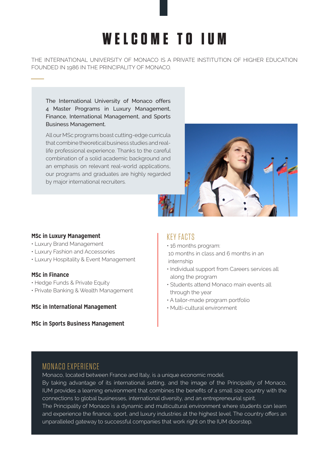# **WELCOME TO IUM**

THE INTERNATIONAL UNIVERSITY OF MONACO IS A PRIVATE INSTITUTION OF HIGHER EDUCATION FOUNDED IN 1986 IN THE PRINCIPALITY OF MONACO.

The International University of Monaco offers 4 Master Programs in Luxury Management, Finance, International Management, and Sports Business Management.

All our MSc programs boast cutting-edge curricula that combine theoretical business studies and reallife professional experience. Thanks to the careful combination of a solid academic background and an emphasis on relevant real-world applications, our programs and graduates are highly regarded by major international recruiters.



#### **MSc in Luxury Management**

- Luxury Brand Management
- Luxury Fashion and Accessories
- Luxury Hospitality & Event Management

#### **MSc in Finance**

- Hedge Funds & Private Equity
- Private Banking & Wealth Management

#### **MSc in International Management**

**MSc in Sports Business Management** 

## KEY FACTS

• 16 months program: 10 months in class and 6 months in an internship

- Individual support from Careers services all along the program
- Students attend Monaco main events all through the year
- A tailor-made program portfolio
- Multi-cultural environment

# MONACO EXPERIENCE

Monaco, located between France and Italy, is a unique economic model. By taking advantage of its international setting, and the image of the Principality of Monaco, IUM provides a learning environment that combines the benefits of a small size country with the connections to global businesses, international diversity, and an entrepreneurial spirit.

The Principality of Monaco is a dynamic and multicultural environment where students can learn and experience the finance, sport, and luxury industries at the highest level. The country offers an unparalleled gateway to successful companies that work right on the IUM doorstep.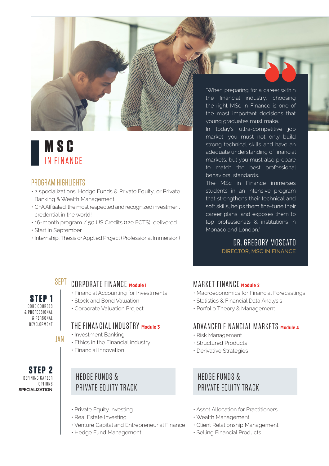# **M S C**  IN FINANCE

## PROGRAM HIGHLIGHTS

- 2 specializations: Hedge Funds & Private Equity, or Private Banking & Wealth Management
- CFA Affiliated: the most respected and recognized investment credential in the world!
- 16-month program / 50 US Credits (120 ECTS) delivered
- Start in September
- Internship, Thesis or Applied Project (Professional Immersion)

#### "When preparing for a career within the financial industry, choosing the right MSc in Finance is one of the most important decisions that young graduates must make.

In today's ultra-competitive job market, you must not only build strong technical skills and have an adequate understanding of financial markets, but you must also prepare to match the best professional behavioral standards.

The MSc in Finance immerses students in an intensive program that strengthens their technical and soft skills, helps them fine-tune their career plans, and exposes them to top professionals & institutions in Monaco and London."

> DR. GREGORY MOSCATO DIRECTOR, MSC IN FINANCE

**STEP 1** CORE COURSES

#### & PROFESSIONAL & PERSONAL D F V E L O P M E N T

**STEP 2** DEFINING CAREER **OPTIONS** 

**SPECIALIZATION**

# SEPT CORPORATE FINANCE Module 1

- Financial Accounting for Investments
- Stock and Bond Valuation
- Corporate Valuation Project

# THE FINANCIAL INDUSTRY **Module 3**

- Investment Banking
- Ethics in the Financial industry
- Financial Innovation

# HEDGE FUNDS & PRIVATE EQUITY TRACK

- Private Equity Investing
- Real Estate Investing
- Venture Capital and Entrepreneurial Finance
- Hedge Fund Management

# MARKET FINANCE **Module 2**

- Macroeconomics for Financial Forecastings
- Statistics & Financial Data Analysis
- Porfolio Theory & Management

# ADVANCED FINANCIAL MARKETS **Module 4**

- Risk Management
- Structured Products
- Derivative Strategies

# HEDGE FUNDS & PRIVATE EQUITY TRACK

- Asset Allocation for Practitioners
- Wealth Management
- Client Relationship Management
- Selling Financial Products

JAN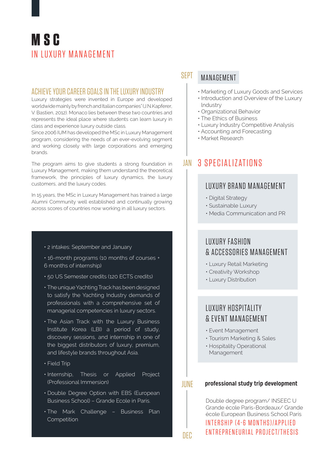# **M S C**  IN LUXURY MANAGEMENT

## ACHIEVE YOUR CAREER GOALS IN THE LUXURY INDUSTRY

Luxury strategies were invented in Europe and developed worldwide mainly by french and Italian companies" (J.N.Kapferer, V. Bastien, 2012). Monaco lies between these two countries and represents the ideal place where students can learn luxury in class and experience luxury outside class.

Since 2006 IUM has developed the MSc in Luxury Management program, considering the needs of an ever-evolving segment and working closely with large corporations and emerging brands.

The program aims to give students a strong foundation in Luxury Management, making them understand the theoretical framework, the principles of luxury dynamics, the luxury customers, and the luxury codes.

In 15 years, the MSc in Luxury Management has trained a large Alumni Community well established and continually growing across scores of countries now working in all luxury sectors.

#### • 2 intakes: September and January

- 16-month programs (10 months of courses + 6 months of internship)
- 50 US Semester credits (120 ECTS credits)
- The unique Yachting Track has been designed to satisfy the Yachting Industry demands of professionals with a comprehensive set of managerial competencies in luxury sectors.
- The Asian Track with the Luxury Business Institute Korea (LBI) a period of study, discovery sessions, and internship in one of the biggest distributors of luxury, premium, and lifestyle brands throughout Asia.
- Field Trip
- Internship, Thesis or Applied Project (Professional Immersion)
- Double Degree Option with EBS (European Business School) – Grande Ecole in Paris.
- The Mark Challenge Business Plan **Competition**

#### SEPT MANAGEMENT

- Marketing of Luxury Goods and Services
- Introduction and Overview of the Luxury lndustry
- Organizational Behavior
- The Ethics of Business
- Luxury lndustry Competitive Analysis
- Accounting and Forecasting
- Market Research

# JAN 3 SPECIALIZATIONS

# LUXURY BRAND MANAGEMENT

- Digital Strategy
- Sustainable Luxury
- Media Communication and PR

# LUXURY FASHION & ACCESSORIES MANAGEMENT

- Luxury Retail Marketing
- Creativity Workshop
- Luxury Distribution

# LUXURY HOSPITALITY & EVENT MANAGEMENT

- Event Management
- Tourism Marketing & Sales
- Hospitality Operational Management

JUNE

DEC

#### **professional study trip development**

Double degree program/ INSEEC U Grande école Paris-Bordeaux/ Grande école European Business School Paris IN TERSHIP (4-6 MONTHS) / APPI IED

ENTREPRENEURIAL PROJECT/THESIS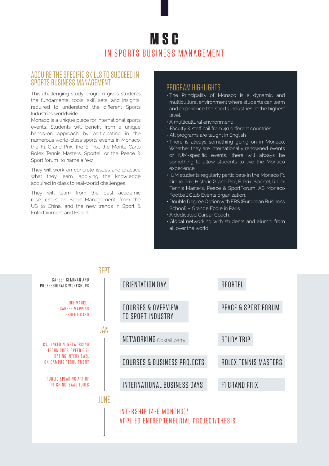# **MSC** IN SPORTS BUSINESS MANAGEMENT

#### ACQUIRE THE SPECIFIC SKILLS TO SUCCEED IN SPORTS BUSINESS MANAGEMENT

This challenging study program gives students the fundamental tools, skill sets, and insights, required to understand the different Sports Industries worldwide.

Monaco is a unique place for international sports events. Students will benefit from a unique hands-on approach by participating in the numerous world-class sports events in Monaco: the F1 Grand Prix, the E-Prix, the Monte-Carlo Rolex Tennis Masters, Sportel, or the Peace & Sport forum, to name a few.

They will work on concrete issues and practice what they learn, applying the knowledge acquired in class to real-world challenges.

They will learn from the best academic researchers on Sport Management, from the US to China, and the new trends in Sport & Entertainment and Esport.

## PROGRAM HIGHLIGHTS

- The Principality of Monaco is a dynamic and multicultural environment where students can learn and experience the sports industries at the highest level.
- A multicultural environment:
- Faculty & staff hail from 40 different countries
- All programs are taught in English
- There is always something going on in Monaco. Whether they are internationally renowned events or IUM-specific events, there will always be something to allow students to live the Monaco experience.
- IUM students regularly participate in the Monaco F1 Grand Prix, Historic Grand Prix, E-Prix, Sportel, Rolex Tennis Masters, Peace & SportForum, AS Monaco Football Club Events organization.
- Double Degree Option with EBS (European Business School) – Grande Ecole in Paris.
- A dedicated Career Coach.
- Global networking with students and alumni from all over the world.

|                                                                   | SFPT |                                                                   |  |                             |  |
|-------------------------------------------------------------------|------|-------------------------------------------------------------------|--|-----------------------------|--|
| CAREER SEMINAR AND<br>PROFESSIONALS WORKSHOPS                     |      | ORIENTATION DAY                                                   |  | SPORTEL                     |  |
| <b>JOB MARKET</b><br><b>CAREER MAPPING</b><br><b>PROFILE CARD</b> |      | <b>COURSES &amp; OVERVIEW</b><br>TO SPORT INDUSTRY                |  | PEACE & SPORT FORUM         |  |
|                                                                   | JAN  |                                                                   |  |                             |  |
| CV, LINKEDIN, NETWORKING                                          |      | NETWORKING Coktail party                                          |  | <b>STUDY TRIP</b>           |  |
| TECHNIQUES, SPEED BIZ-                                            |      |                                                                   |  |                             |  |
| DATING INTERVIEWS,<br><b>ON-CAMPUS RECRUITMENT</b>                |      | <b>COURSES &amp; BUSINESS PROJECTS</b>                            |  | <b>ROLEX TENNIS MASTERS</b> |  |
|                                                                   |      |                                                                   |  |                             |  |
| PUBLIC SPEAKING ART OF<br>PITCHING, SAAS TOOLS                    |      | <b>INTERNATIONAL BUSINESS DAYS</b>                                |  | <b>F1 GRAND PRIX</b>        |  |
|                                                                   | JUNE |                                                                   |  |                             |  |
|                                                                   |      | INTERSHIP (4-6 MONTHS)/<br>APPLIED ENTREPRENEURIAL PROJECT/THESIS |  |                             |  |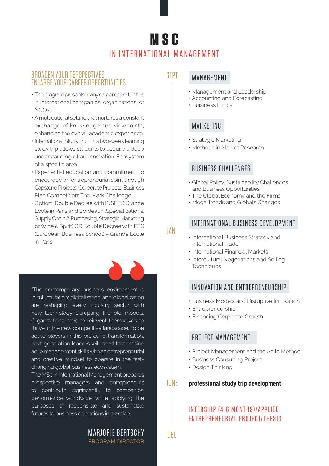# **M S C**  IN INTERNATIONAL MANAGEMENT

SEPT

JAN

## BROADEN YOUR PERSPECTIVES, ENLARGE YOUR CAREER OPPORTUNITIES

- The program presents many career opportunities in international companies, organizations, or NGOs.
- A multicultural setting that nurtures a constant exchange of knowledge and viewpoints, enhancing the overall academic experience.
- International Study Trip: This two-week learning study trip allows students to acquire a deep understanding of an Innovation Ecosystem of a specific area.
- Experiential education and commitment to encourage an entrepreneurial spirit through Capstone Projects, Corporate Projects, Business Plan Competition: The Mark Challenge.
- Option: Double Degree with INSEEC Grande Ecole in Paris and Bordeaux (Specializations: Supply Chain & Purchasing, Strategic Marketing or Wine & Spirit) OR Double Degree with EBS (European Business School) – Grande Ecole in Paris.

"The contemporary business environment is in full mutation; digitalization and globalization are reshaping every industry sector with new technology disrupting the old models. Organizations have to reinvent themselves to thrive in the new competitive landscape. To be active players in this profound transformation, next-generation leaders will need to combine agile management skills with an entrepreneurial and creative mindset to operate in the fastchanging global business ecosystem.

The MSc in International Management prepares prospective managers and entrepreneurs to contribute significantly to companies' performance worldwide while applying the purposes of responsible and sustainable futures to business operations in practice."

## MANAGEMENT

- Management and Leadership
- Accounting and Forecasting
- Buisiness Ethics

# MARKETING

- Strategic Marketing
- Methods in Market Research

## BUSINESS CHALLENGES

- Global Policy, Sustainability Challenges and Business Opportunities
- The Global Economy and the Firms
- Mega Trends and Globals Changes

# INTERNATIONAL BUSINESS DEVELOPMENT

- International Business Strategy and International Trade
- International Financial Markets
- Intercultural Negotiations and Selling **Techniques**

# INNOVATION AND ENTREPRENEURSHIP

- Business Models and Disruptive Innovation
- Entrepreneurship
- Financing Corporate Growth

# PROJECT MANAGEMENT

- Project Management and the Agile Method
- Business Consulting Project
- Design Thinking

#### **professional study trip development** JUNE

# IN TERSHIP (4-6 MONTHS) / APPLIED ENTREPRENEURIAL PROJECT/THESIS

MARJORIE BERTSCHY PROGRAM DIRECTOR

DEC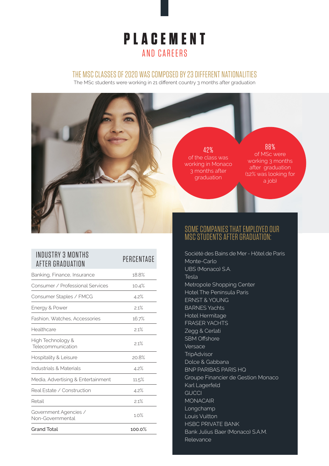# **PLACEMENT** AND CAREERS

#### THE MSC CLASSES OF 2020 WAS COMPOSED BY 23 DIFFERENT NATIONALITIES

The MSc students were working in 21 different country 3 months after graduation



| INDUSTRY 3 MONTHS<br>AFTER GRADUATION     | PERCENTAGE |  |
|-------------------------------------------|------------|--|
| Banking, Finance, Insurance               | 18.8%      |  |
| Consumer / Professional Services          | 10.4%      |  |
| Consumer Staples / FMCG                   | 4.2%       |  |
| Energy & Power                            | 2.1%       |  |
| Fashion, Watches, Accessories             | 16.7%      |  |
| Healthcare                                | 2.1%       |  |
| High Technology &<br>Telecommunication    | 21%        |  |
| Hospitality & Leisure                     | 20.8%      |  |
| Industrials & Materials                   | 4.2%       |  |
| Media, Advertising & Entertainment        | 11.5%      |  |
| Real Estate / Construction                | 4.2%       |  |
| Retail                                    | 2.1%       |  |
| Government Agencies /<br>Non-Governmental | 1.0%       |  |
| <b>Grand Total</b>                        | 100.0%     |  |

SOME COMPANIES THAT EMPLOYED OUR MSC STUDENTS AFTER GRADUATION:

Société des Bains de Mer - Hôtel de Paris Monte-Carlo UBS (Monaco) S.A. Tesla Metropole Shopping Center Hotel The Peninsula Paris ERNST & YOUNG BARNES Yachts Hotel Hermitage FRASER YACHTS Zegg & Cerlati SBM Offshore Versace **TripAdvisor** Dolce & Gabbana BNP PARIBAS PARIS HQ Groupe Financier de Gestion Monaco Karl Lagerfeld **GUCCI** MONACAIR Longchamp Louis Vuitton HSBC PRIVATE BANK Bank Julius Baer (Monaco) S.A.M. Relevance